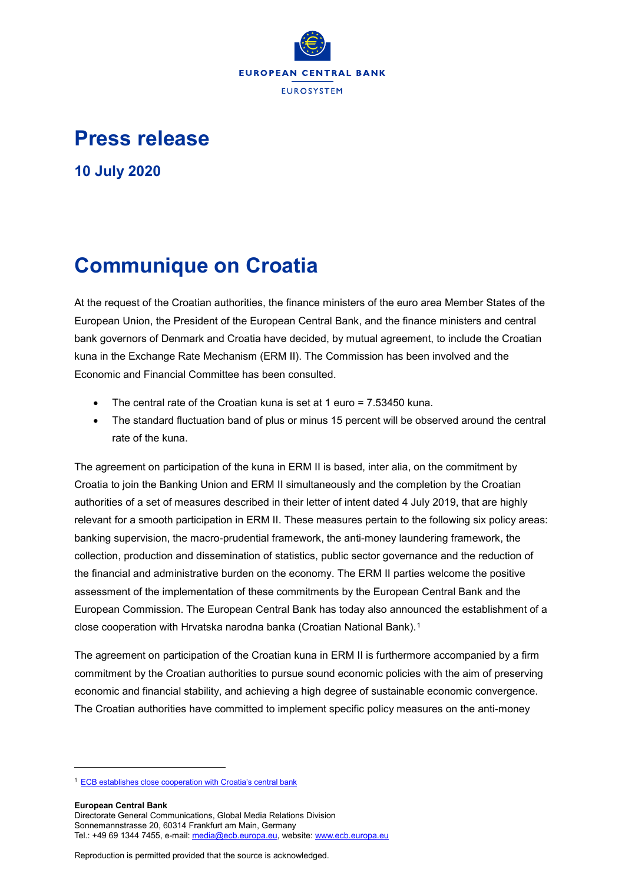

## **Press release**

**10 July 2020**

## **Communique on Croatia**

At the request of the Croatian authorities, the finance ministers of the euro area Member States of the European Union, the President of the European Central Bank, and the finance ministers and central bank governors of Denmark and Croatia have decided, by mutual agreement, to include the Croatian kuna in the Exchange Rate Mechanism (ERM II). The Commission has been involved and the Economic and Financial Committee has been consulted.

- The central rate of the Croatian kuna is set at 1 euro = 7.53450 kuna.
- The standard fluctuation band of plus or minus 15 percent will be observed around the central rate of the kuna.

The agreement on participation of the kuna in ERM II is based, inter alia, on the commitment by Croatia to join the Banking Union and ERM II simultaneously and the completion by the Croatian authorities of a set of measures described in their letter of intent dated 4 July 2019, that are highly relevant for a smooth participation in ERM II. These measures pertain to the following six policy areas: banking supervision, the macro-prudential framework, the anti-money laundering framework, the collection, production and dissemination of statistics, public sector governance and the reduction of the financial and administrative burden on the economy. The ERM II parties welcome the positive assessment of the implementation of these commitments by the European Central Bank and the European Commission. The European Central Bank has today also announced the establishment of a close cooperation with Hrvatska narodna banka (Croatian National Bank).[1](#page-0-0)

The agreement on participation of the Croatian kuna in ERM II is furthermore accompanied by a firm commitment by the Croatian authorities to pursue sound economic policies with the aim of preserving economic and financial stability, and achieving a high degree of sustainable economic convergence. The Croatian authorities have committed to implement specific policy measures on the anti-money

**European Central Bank**

-

Reproduction is permitted provided that the source is acknowledged.

<span id="page-0-0"></span><sup>1</sup> [ECB establishes close cooperation with Croatia's central bank](https://www.bankingsupervision.europa.eu/press/pr/date/2020/html/ssm.pr200710_1%7Eead3942902.en.html)

Directorate General Communications, Global Media Relations Division Sonnemannstrasse 20, 60314 Frankfurt am Main, Germany Tel.: +49 69 1344 7455, e-mail[: media@ecb.europa.eu,](mailto:media@ecb.europa.eu) website[: www.ecb.europa.eu](http://www.ecb.europa.eu/)